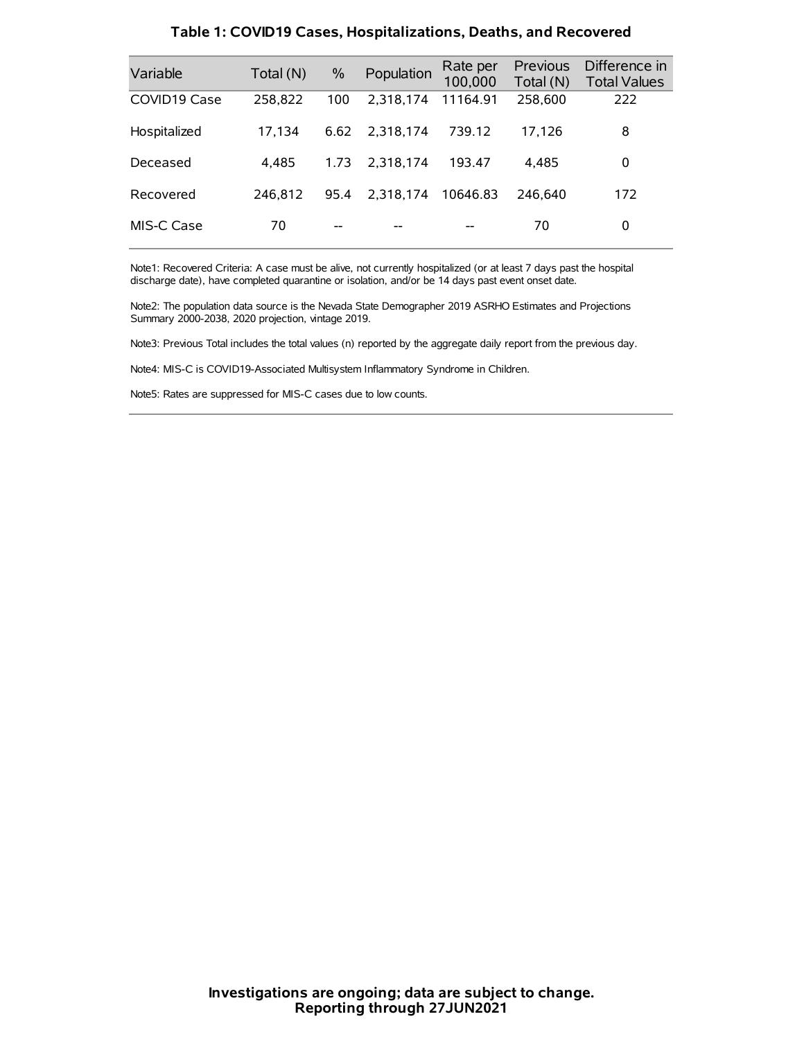| Variable     | Total (N) | $\frac{0}{0}$ | Population | Rate per<br>100,000 | Previous<br>Total (N) | Difference in<br><b>Total Values</b> |
|--------------|-----------|---------------|------------|---------------------|-----------------------|--------------------------------------|
| COVID19 Case | 258,822   | 100           | 2,318,174  | 11164.91            | 258,600               | 222                                  |
| Hospitalized | 17,134    | 6.62          | 2.318.174  | 739.12              | 17,126                | 8                                    |
| Deceased     | 4.485     | 1.73          | 2.318.174  | 193.47              | 4.485                 | 0                                    |
| Recovered    | 246.812   | 95.4          | 2.318.174  | 10646.83            | 246,640               | 172                                  |
| MIS-C Case   | 70        | --            |            |                     | 70                    | 0                                    |

#### **Table 1: COVID19 Cases, Hospitalizations, Deaths, and Recovered**

Note1: Recovered Criteria: A case must be alive, not currently hospitalized (or at least 7 days past the hospital discharge date), have completed quarantine or isolation, and/or be 14 days past event onset date.

Note2: The population data source is the Nevada State Demographer 2019 ASRHO Estimates and Projections Summary 2000-2038, 2020 projection, vintage 2019.

Note3: Previous Total includes the total values (n) reported by the aggregate daily report from the previous day.

Note4: MIS-C is COVID19-Associated Multisystem Inflammatory Syndrome in Children.

Note5: Rates are suppressed for MIS-C cases due to low counts.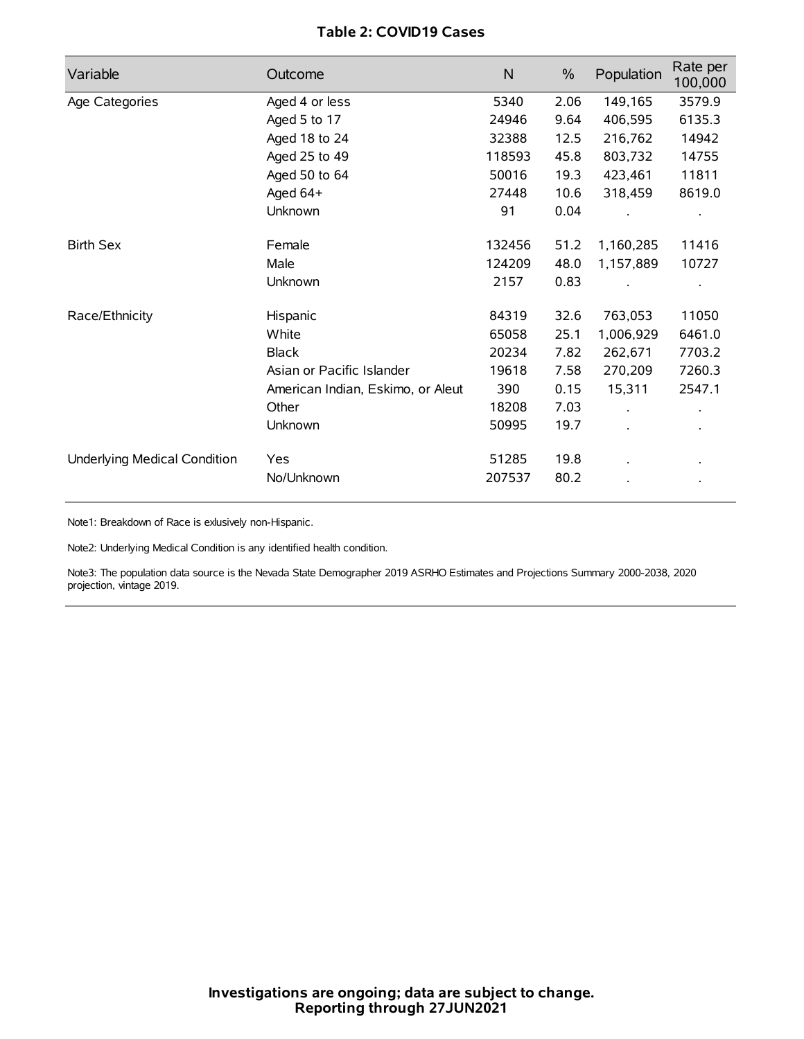## **Table 2: COVID19 Cases**

| Variable                     | Outcome                           | N      | $\%$ | Population | Rate per<br>100,000 |
|------------------------------|-----------------------------------|--------|------|------------|---------------------|
| Age Categories               | Aged 4 or less                    | 5340   | 2.06 | 149,165    | 3579.9              |
|                              | Aged 5 to 17                      | 24946  | 9.64 | 406,595    | 6135.3              |
|                              | Aged 18 to 24                     | 32388  | 12.5 | 216,762    | 14942               |
|                              | Aged 25 to 49                     | 118593 | 45.8 | 803,732    | 14755               |
|                              | Aged 50 to 64                     | 50016  | 19.3 | 423,461    | 11811               |
|                              | Aged 64+                          | 27448  | 10.6 | 318,459    | 8619.0              |
|                              | Unknown                           | 91     | 0.04 |            |                     |
| <b>Birth Sex</b>             | Female                            | 132456 | 51.2 | 1,160,285  | 11416               |
|                              | Male                              | 124209 | 48.0 | 1,157,889  | 10727               |
|                              | Unknown                           | 2157   | 0.83 |            |                     |
| Race/Ethnicity               | Hispanic                          | 84319  | 32.6 | 763,053    | 11050               |
|                              | White                             | 65058  | 25.1 | 1,006,929  | 6461.0              |
|                              | <b>Black</b>                      | 20234  | 7.82 | 262,671    | 7703.2              |
|                              | Asian or Pacific Islander         | 19618  | 7.58 | 270,209    | 7260.3              |
|                              | American Indian, Eskimo, or Aleut | 390    | 0.15 | 15,311     | 2547.1              |
|                              | Other                             | 18208  | 7.03 |            |                     |
|                              | Unknown                           | 50995  | 19.7 |            |                     |
| Underlying Medical Condition | <b>Yes</b>                        | 51285  | 19.8 |            |                     |
|                              | No/Unknown                        | 207537 | 80.2 |            |                     |

Note1: Breakdown of Race is exlusively non-Hispanic.

Note2: Underlying Medical Condition is any identified health condition.

Note3: The population data source is the Nevada State Demographer 2019 ASRHO Estimates and Projections Summary 2000-2038, 2020 projection, vintage 2019.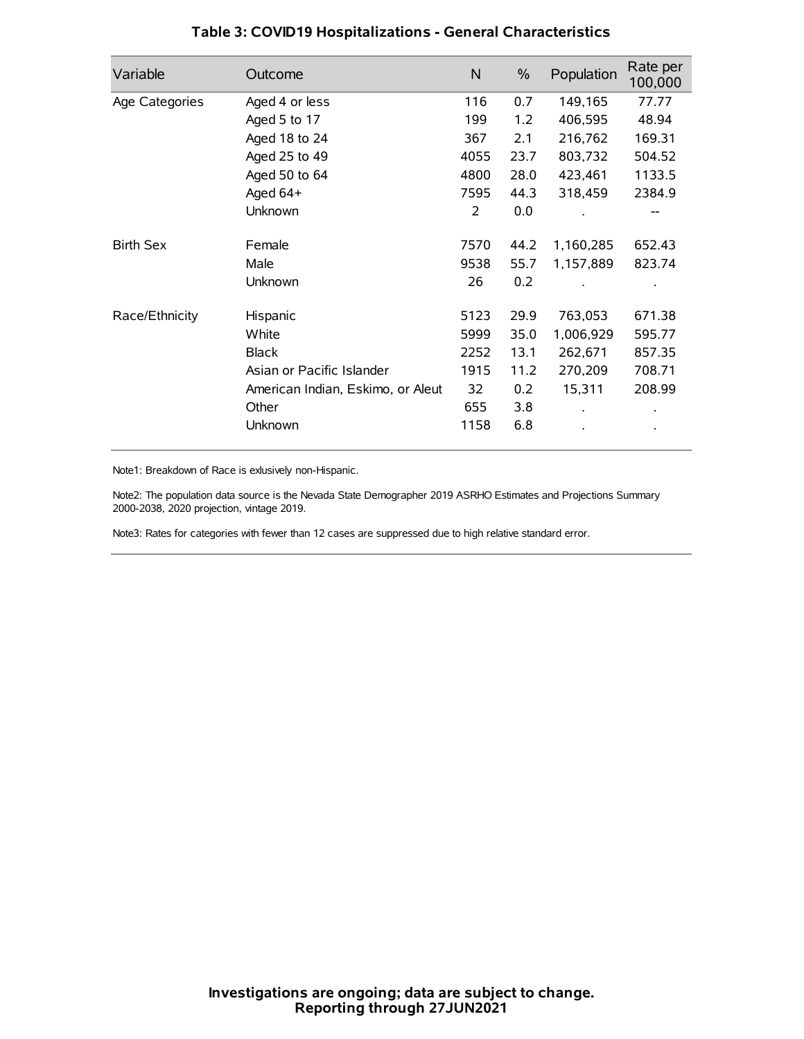| Variable         | Outcome                           | N    | $\%$ | Population | Rate per<br>100,000 |
|------------------|-----------------------------------|------|------|------------|---------------------|
| Age Categories   | Aged 4 or less                    | 116  | 0.7  | 149,165    | 77.77               |
|                  | Aged 5 to 17                      | 199  | 1.2  | 406,595    | 48.94               |
|                  | Aged 18 to 24                     | 367  | 2.1  | 216,762    | 169.31              |
|                  | Aged 25 to 49                     | 4055 | 23.7 | 803,732    | 504.52              |
|                  | Aged 50 to 64                     | 4800 | 28.0 | 423,461    | 1133.5              |
|                  | Aged 64+                          | 7595 | 44.3 | 318,459    | 2384.9              |
|                  | Unknown                           | 2    | 0.0  |            |                     |
| <b>Birth Sex</b> | Female                            | 7570 | 44.2 | 1,160,285  | 652.43              |
|                  | Male                              | 9538 | 55.7 | 1,157,889  | 823.74              |
|                  | Unknown                           | 26   | 0.2  |            |                     |
| Race/Ethnicity   | Hispanic                          | 5123 | 29.9 | 763,053    | 671.38              |
|                  | White                             | 5999 | 35.0 | 1,006,929  | 595.77              |
|                  | <b>Black</b>                      | 2252 | 13.1 | 262,671    | 857.35              |
|                  | Asian or Pacific Islander         | 1915 | 11.2 | 270,209    | 708.71              |
|                  | American Indian, Eskimo, or Aleut | 32   | 0.2  | 15,311     | 208.99              |
|                  | Other                             | 655  | 3.8  |            |                     |
|                  | Unknown                           | 1158 | 6.8  |            |                     |

## **Table 3: COVID19 Hospitalizations - General Characteristics**

Note1: Breakdown of Race is exlusively non-Hispanic.

Note2: The population data source is the Nevada State Demographer 2019 ASRHO Estimates and Projections Summary 2000-2038, 2020 projection, vintage 2019.

Note3: Rates for categories with fewer than 12 cases are suppressed due to high relative standard error.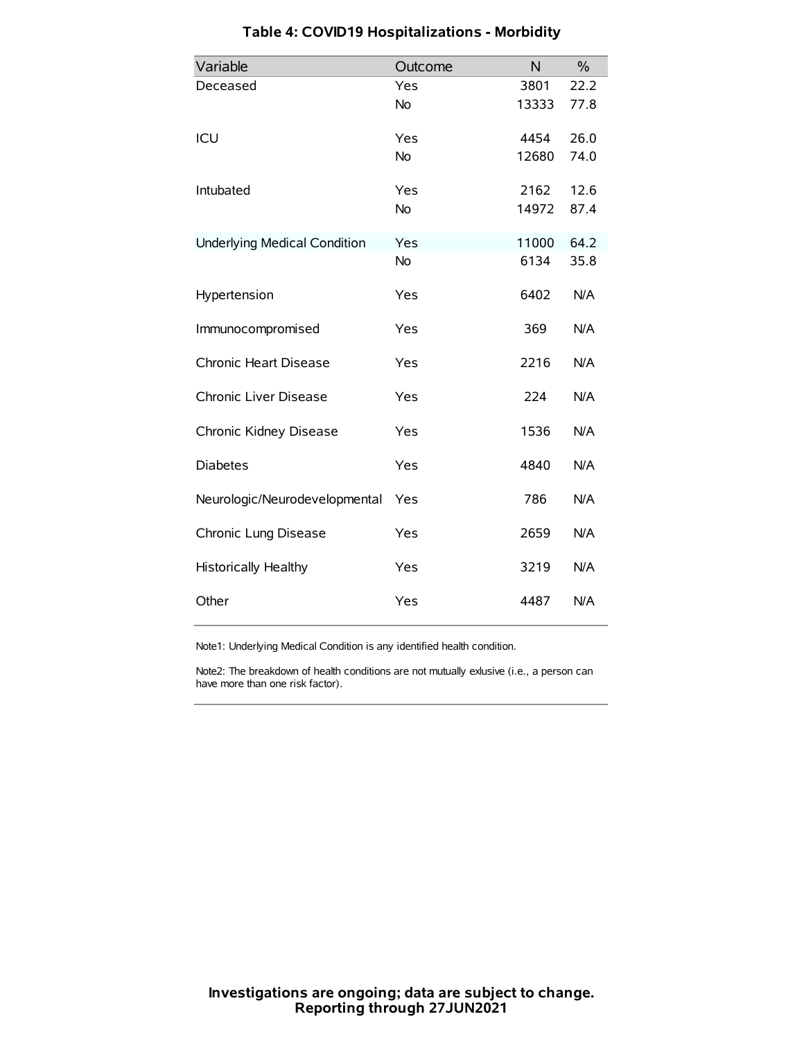| Variable                            | Outcome   | N     | $\frac{0}{0}$ |
|-------------------------------------|-----------|-------|---------------|
| Deceased                            | Yes       | 3801  | 22.2          |
|                                     | No        | 13333 | 77.8          |
| ICU                                 | Yes       | 4454  | 26.0          |
|                                     | <b>No</b> | 12680 | 74.0          |
| Intubated                           | Yes       | 2162  | 12.6          |
|                                     | No        | 14972 | 87.4          |
| <b>Underlying Medical Condition</b> | Yes       | 11000 | 64.2          |
|                                     | No        | 6134  | 35.8          |
| Hypertension                        | Yes       | 6402  | N/A           |
| Immunocompromised                   | Yes       | 369   | N/A           |
| Chronic Heart Disease               | Yes       | 2216  | N/A           |
| Chronic Liver Disease               | Yes       | 224   | N/A           |
| Chronic Kidney Disease              | Yes       | 1536  | N/A           |
| <b>Diabetes</b>                     | Yes       | 4840  | N/A           |
| Neurologic/Neurodevelopmental       | Yes       | 786   | N/A           |
| Chronic Lung Disease                | Yes       | 2659  | N/A           |
| <b>Historically Healthy</b>         | Yes       | 3219  | N/A           |
| Other                               | Yes       | 4487  | N/A           |

# **Table 4: COVID19 Hospitalizations - Morbidity**

Note1: Underlying Medical Condition is any identified health condition.

Note2: The breakdown of health conditions are not mutually exlusive (i.e., a person can have more than one risk factor).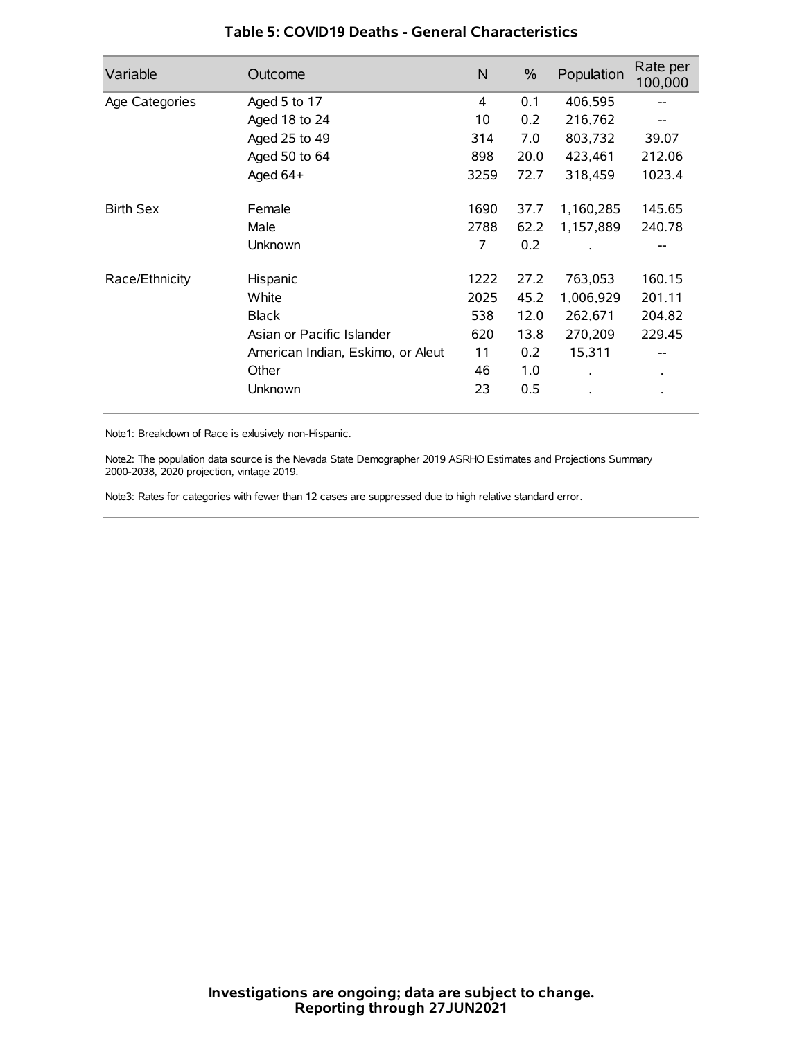| Variable         | Outcome                           | $\mathsf{N}$ | $\%$ | Population           | Rate per<br>100,000 |
|------------------|-----------------------------------|--------------|------|----------------------|---------------------|
| Age Categories   | Aged 5 to 17                      | 4            | 0.1  | 406,595              | --                  |
|                  | Aged 18 to 24                     | 10           | 0.2  | 216,762              |                     |
|                  | Aged 25 to 49                     | 314          | 7.0  | 803,732              | 39.07               |
|                  | Aged 50 to 64                     | 898          | 20.0 | 423,461              | 212.06              |
|                  | Aged $64+$                        | 3259         | 72.7 | 318,459              | 1023.4              |
| <b>Birth Sex</b> | Female                            | 1690         | 37.7 | 1,160,285            | 145.65              |
|                  | Male                              | 2788         | 62.2 | 1,157,889            | 240.78              |
|                  | Unknown                           | 7            | 0.2  |                      |                     |
| Race/Ethnicity   | Hispanic                          | 1222         | 27.2 | 763,053              | 160.15              |
|                  | White                             | 2025         | 45.2 | 1,006,929            | 201.11              |
|                  | <b>Black</b>                      | 538          | 12.0 | 262,671              | 204.82              |
|                  | Asian or Pacific Islander         | 620          | 13.8 | 270,209              | 229.45              |
|                  | American Indian, Eskimo, or Aleut | 11           | 0.2  | 15,311               | --                  |
|                  | Other                             | 46           | 1.0  | $\ddot{\phantom{0}}$ | $\bullet$           |
|                  | Unknown                           | 23           | 0.5  |                      |                     |

### **Table 5: COVID19 Deaths - General Characteristics**

Note1: Breakdown of Race is exlusively non-Hispanic.

Note2: The population data source is the Nevada State Demographer 2019 ASRHO Estimates and Projections Summary 2000-2038, 2020 projection, vintage 2019.

Note3: Rates for categories with fewer than 12 cases are suppressed due to high relative standard error.